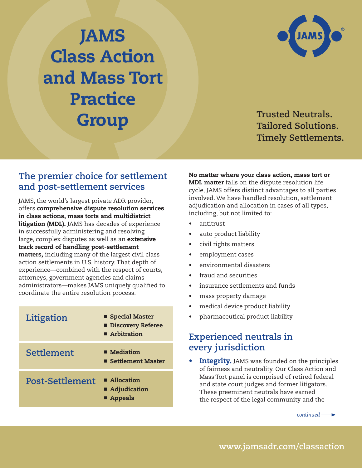## JAMS Class Action and Mass Tort Practice **Group Trusted Neutrals.**



**Tailored Solutions. Timely Settlements.**

## **The premier choice for settlement and post-settlement services**

JAMS, the world's largest private ADR provider, offers comprehensive dispute resolution services in class actions, mass torts and multidistrict litigation (MDL). JAMS has decades of experience in successfully administering and resolving large, complex disputes as well as an extensive track record of handling post-settlement matters, including many of the largest civil class action settlements in U.S. history. That depth of experience—combined with the respect of courts, attorneys, government agencies and claims administrators—makes JAMS uniquely qualified to coordinate the entire resolution process.

| Litigation             | <b>Special Master</b><br><b>Discovery Referee</b><br>Arbitration |
|------------------------|------------------------------------------------------------------|
| Settlement             | $\blacksquare$ Mediation<br>■ Settlement Master                  |
| <b>Post-Settlement</b> | ■ Allocation<br>■ Adjudication<br>■ Appeals                      |

No matter where your class action, mass tort or MDL matter falls on the dispute resolution life cycle, JAMS offers distinct advantages to all parties involved. We have handled resolution, settlement adjudication and allocation in cases of all types, including, but not limited to:

- antitrust
- auto product liability
- civil rights matters
- employment cases
- environmental disasters
- fraud and securities
- insurance settlements and funds
- mass property damage
- medical device product liability
- pharmaceutical product liability

## **Experienced neutrals in every jurisdiction**

• Integrity. JAMS was founded on the principles of fairness and neutrality. Our Class Action and Mass Tort panel is comprised of retired federal and state court judges and former litigators. These preeminent neutrals have earned the respect of the legal community and the

*continued*